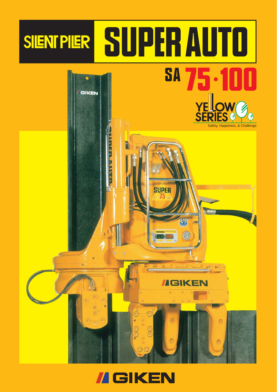

### **II GIKEN**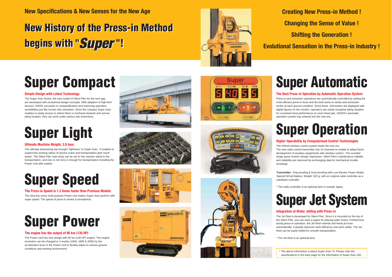**New Specifications & New Senses for the New Age**

## **Super Compact**

### **Simple Design with Latest Technology**

The Super Auto Series, the new model of Silent Piler for the next age, are developed with evolutional design concepts. With adaption of high-tech devices, GIKEN succeeds in compactification and improving operation sensibilities just like human skin sensation. Since the compact Super Auto enables to easily access to where there is overhead obstacle and narrow piling location, they can work under various site restrictions.

#### **The Best Press-in Operation by Automatic Operation System**

Press-in and extraction operations are automatically controlled by setting the most efficient press-in force and the both press-in stroke and extraction stroke at each ground condition. Since those information are displayed with digital figures on the monitor, operators can easily recognise piling situation for consistent best performance on each sheet pile. GIKEN's automatic operation system has entered into the new era.

### **Ultimate Machine Weight, 3.9 tons**

The ultimate downsizing has brought "lightness" to Super Auto. It enables to expand the working radius of service crane and transportation gets much easier. The Silent Piler main body can be set on the reaction stand in the transportation, and one 11 ton lorry is enough for transportation including the Power Unit with crawler.

## **Super Light**

### **The engine has the output of 95 kw (130 HP)**

The Power Unit has new design with 95 kw (130 HP) engine. The engine revolution can be changed to 3 modes (1600, 1800 & 2000) by the acceleration lever in the Power Unit to flexibly adjust to various ground conditions and working environment.











### **The Press-in Speed is 1.3 times faster than Previous Models**

The ultra-low noise multi-purpose Power Unit makes Super Auto perform with super speed. The speed of press-in stroke is sensational.

# **Super Speed**



## **Super Automatic**

### **Higher Operability by Computerised Control Technologies**

The refined wireless control system leads the new era. The new radio control transmitter has 24 channels to enable to adapt future development of auxiliary equipments with wireless control. The rounded shape gives modern design impression. Silent Piler's maintenance stability and reliability are improved by exchanging data for mechanical trouble

shootings.

## **Super Jet System**

### **Super Operation**

### **Integration of Water Jetting with Press-in**

The Jet Reel is developed for Silent Piler. Since it is mounted on the top of the Silent Piler, you can save a space for placing water hoses. Furthermore, during press-in operation, the Jet Reel rewinds and feeds jet hose automatically. It greatly improves work efficiency and work safety. The Jet Reel can be easily folded for smooth transportation.

\* The Jet Reel is an optional item.

**Creating New Press-in Method !**

**Shifting the Generation !**

- **Changing the Sense of Value !**
	-
- **Evolutional Sensation in the Press-in Industry !**

**Transmitter**: Drip-proofing & Dust-proofing with Low Electric Power Model, Special NiCad Battery, Weight: 620 g, with an original cable controller as a substitute controller.



\* The radio controller is an optional item in outside Japan.

\* The above information is about Super Auto 75. Please refer the specifications in the back page for the information of Super Auto 100.

## **New History of the Press-in Method New History of the Press-in Method begins with "***Super* **"! begins with "***Super* **"!**